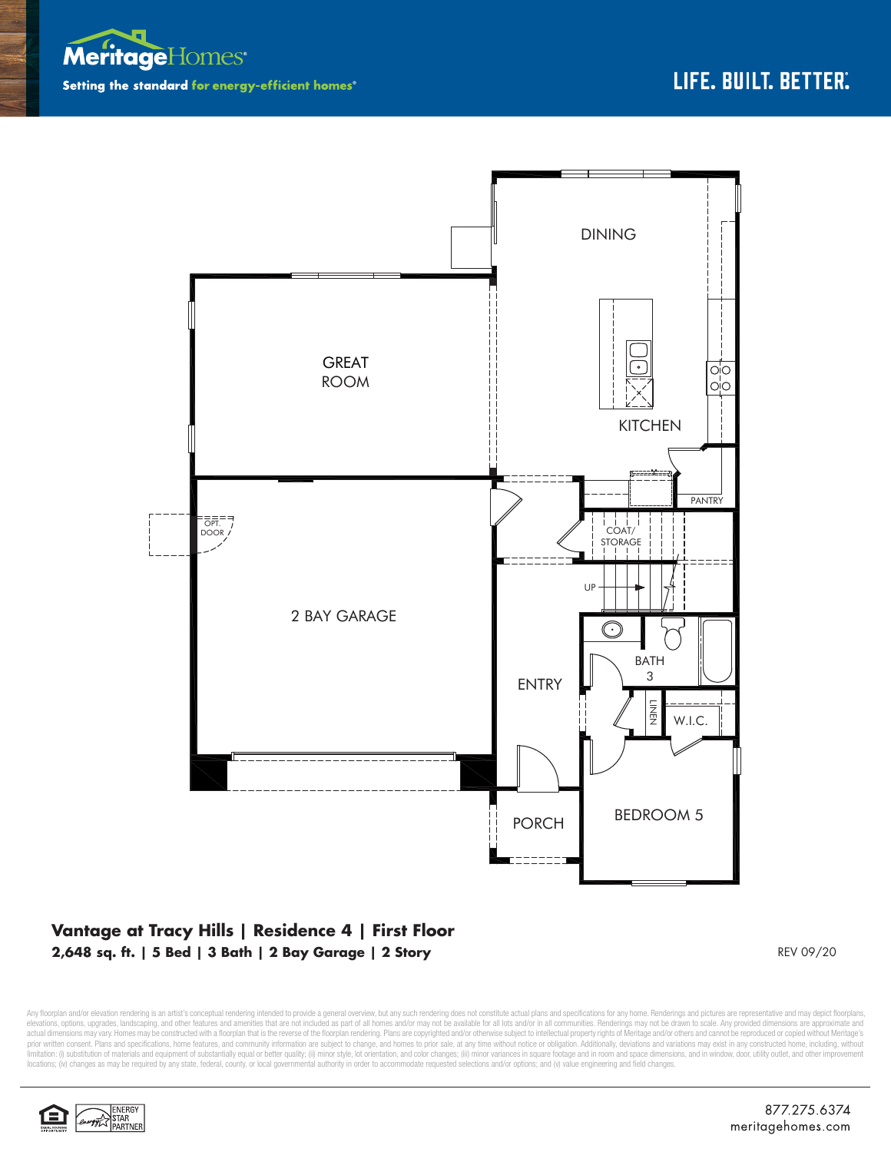



## **Vantage at Tracy Hills | Residence 4 | First Floor 2,648 sq. ft. | 5 Bed | 3 Bath | 2 Bay Garage | 2 Story** REV 09/20

Any floorplan and/or elevation rendering is an artist's conceptual rendering intended to provide a general overview, but any such rendering does not constitute actual plans and specifications for any home. Renderings and p elevations, opions, upgrades, landscaping, and other features and amenities that are not included as part of all homes and/or may not be available for all lots and/or in all communities. Renderings may not be drawn to scal prior written consent. Plans and specifications, home features, and community information are subject to change, and homes to prior sale, at any time without notice or obligation. Additionally, deviations and variations ma limitation: (i) substitution of materials and equipment of substantially equal or better quality; (ii) minor style, lot orientation, and color changes; (iii) minor variances in square footage and in room and space dimensio